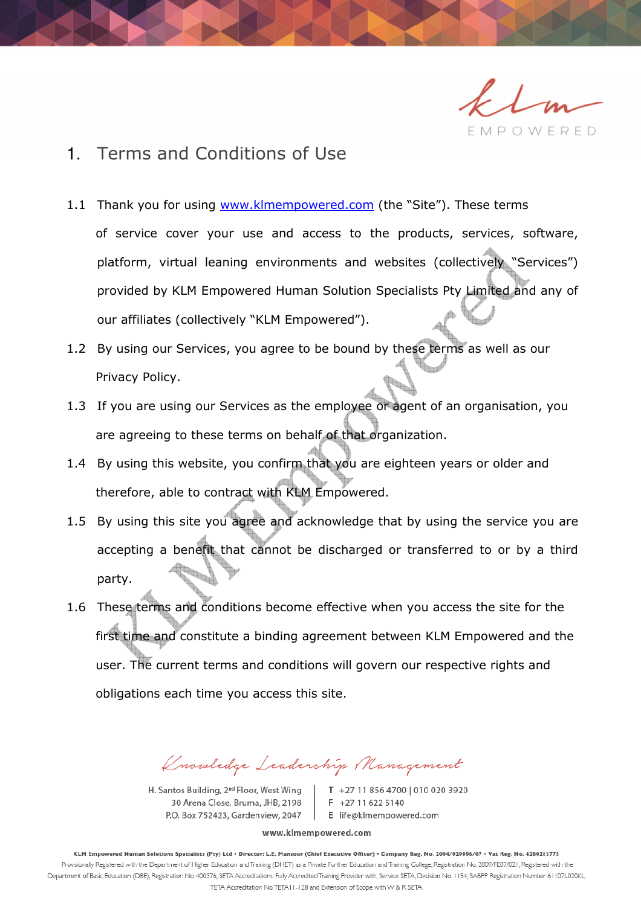EMPOWERED

# 1. Terms and Conditions of Use

- 1.1 Thank you for using www.klmempowered.com (the "Site"). These terms
	- of service cover your use and access to the products, services, software, platform, virtual leaning environments and websites (collectively "Services") provided by KLM Empowered Human Solution Specialists Pty Limited and any of our affiliates (collectively "KLM Empowered").
- 1.2 By using our Services, you agree to be bound by these terms as well as our Privacy Policy.
- 1.3 If you are using our Services as the employee or agent of an organisation, you are agreeing to these terms on behalf of that organization.
- 1.4 By using this website, you confirm that you are eighteen years or older and therefore, able to contract with KLM Empowered.
- 1.5 By using this site you agree and acknowledge that by using the service you are accepting a benefit that cannot be discharged or transferred to or by a third party.
- 1.6 These terms and conditions become effective when you access the site for the first time and constitute a binding agreement between KLM Empowered and the user. The current terms and conditions will govern our respective rights and obligations each time you access this site.

Knowledge Leadership Management

H. Santos Building, 2<sup>nd</sup> Floor, West Wing 30 Arena Close, Bruma, JHB, 2198 P.O. Box 752423, Gardenview, 2047

T +27 11 856 4700 | 010 020 3920  $F$  +27 11 622 5140 E life@klmempowered.com

www.klmempowered.com

KLM Empowered Human Solutions Specialists (Pty) Ltd · Director: L.E. Mansour (Chief Executive Officer) · Company Reg. No. 2004/029096/07 · Vat Reg. No. 4280215775 Provisionally Registered with the Department of Higher Education and Training (DHET) as a Private Further Education and Training College, Registration No. 2009/FE07/021; Registered with the Department of Basic Education (DBE), Registration No. 400376; SETA Accreditations: Fully Accredited Training Provider with; Service SETA, Decision No: 1154; SABPP Registration Number 61107L020KL, TETA Accreditation No.TETA11-128 and Extension of Scope with W & R SETA.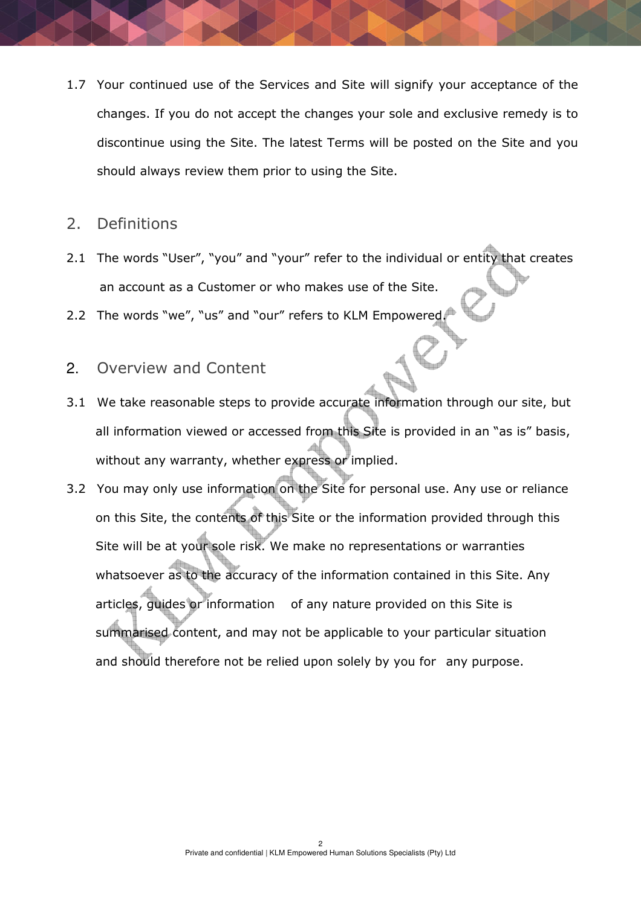1.7 Your continued use of the Services and Site will signify your acceptance of the changes. If you do not accept the changes your sole and exclusive remedy is to discontinue using the Site. The latest Terms will be posted on the Site and you should always review them prior to using the Site.

#### 2. Definitions

- 2.1 The words "User", "you" and "your" refer to the individual or entity that creates an account as a Customer or who makes use of the Site.
- 2.2 The words "we", "us" and "our" refers to KLM Empowered.
- 2. Overview and Content
- 3.1 We take reasonable steps to provide accurate information through our site, but all information viewed or accessed from this Site is provided in an "as is" basis, without any warranty, whether express or implied.
- 3.2 You may only use information on the Site for personal use. Any use or reliance on this Site, the contents of this Site or the information provided through this Site will be at your sole risk. We make no representations or warranties whatsoever as to the accuracy of the information contained in this Site. Any articles, guides or information of any nature provided on this Site is summarised content, and may not be applicable to your particular situation and should therefore not be relied upon solely by you for any purpose.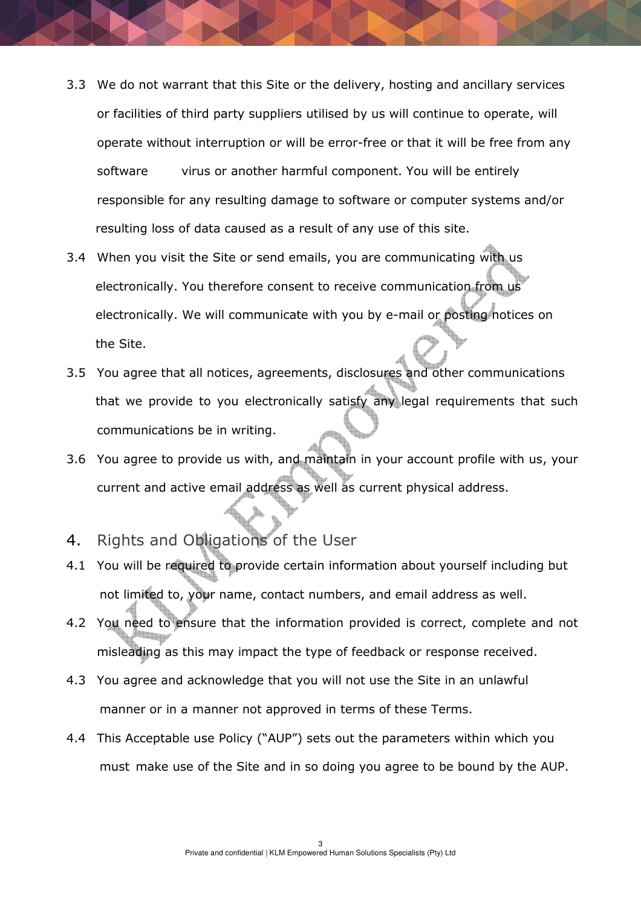- 3.3 We do not warrant that this Site or the delivery, hosting and ancillary services or facilities of third party suppliers utilised by us will continue to operate, will operate without interruption or will be error-free or that it will be free from any software virus or another harmful component. You will be entirely responsible for any resulting damage to software or computer systems and/or resulting loss of data caused as a result of any use of this site.
- 3.4 When you visit the Site or send emails, you are communicating with us electronically. You therefore consent to receive communication from us electronically. We will communicate with you by e-mail or posting notices on the Site.
- 3.5 You agree that all notices, agreements, disclosures and other communications that we provide to you electronically satisfy any legal requirements that such communications be in writing.
- 3.6 You agree to provide us with, and maintain in your account profile with us, your current and active email address as well as current physical address.
- 4. Rights and Obligations of the User
- 4.1 You will be required to provide certain information about yourself including but not limited to, your name, contact numbers, and email address as well.
- 4.2 You need to ensure that the information provided is correct, complete and not misleading as this may impact the type of feedback or response received.
- 4.3 You agree and acknowledge that you will not use the Site in an unlawful manner or in a manner not approved in terms of these Terms.
- 4.4 This Acceptable use Policy ("AUP") sets out the parameters within which you must make use of the Site and in so doing you agree to be bound by the AUP.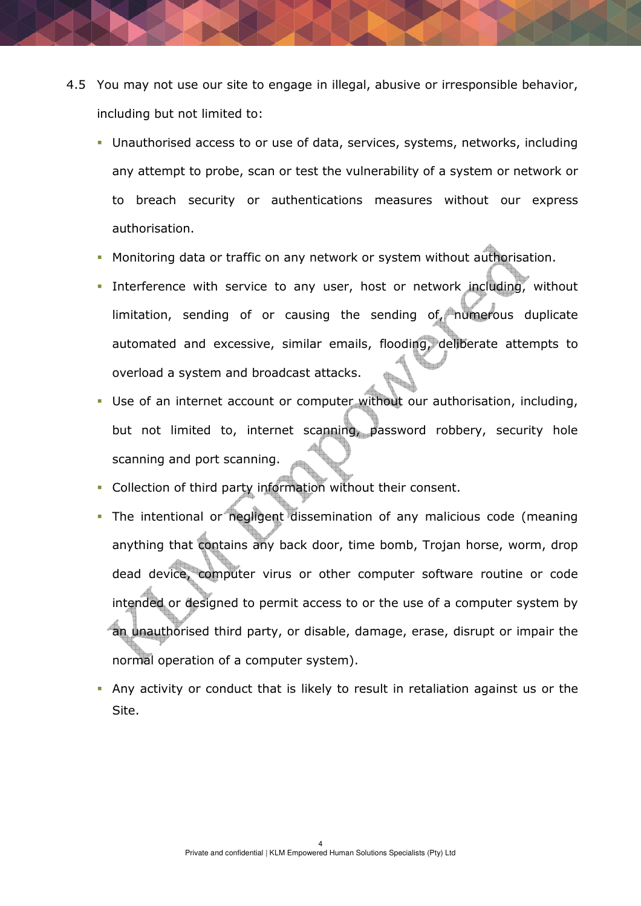- 4.5 You may not use our site to engage in illegal, abusive or irresponsible behavior, including but not limited to:
	- Unauthorised access to or use of data, services, systems, networks, including any attempt to probe, scan or test the vulnerability of a system or network or to breach security or authentications measures without our express authorisation.
	- Monitoring data or traffic on any network or system without authorisation.
	- Interference with service to any user, host or network including, without limitation, sending of or causing the sending of, numerous duplicate automated and excessive, similar emails, flooding, deliberate attempts to overload a system and broadcast attacks.
	- Use of an internet account or computer without our authorisation, including, but not limited to, internet scanning, password robbery, security hole scanning and port scanning.
	- Collection of third party information without their consent.
	- The intentional or negligent dissemination of any malicious code (meaning anything that contains any back door, time bomb, Trojan horse, worm, drop dead device, computer virus or other computer software routine or code intended or designed to permit access to or the use of a computer system by an unauthorised third party, or disable, damage, erase, disrupt or impair the normal operation of a computer system).
	- Any activity or conduct that is likely to result in retaliation against us or the Site.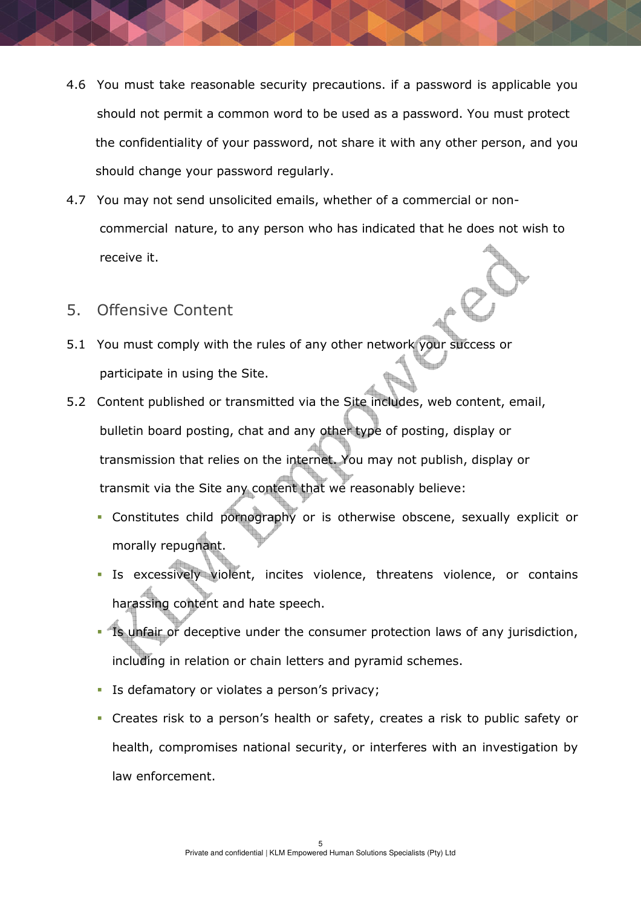- 4.6 You must take reasonable security precautions. if a password is applicable you should not permit a common word to be used as a password. You must protect the confidentiality of your password, not share it with any other person, and you should change your password regularly.
- 4.7 You may not send unsolicited emails, whether of a commercial or non commercial nature, to any person who has indicated that he does not wish to receive it.
- 5. Offensive Content
- 5.1 You must comply with the rules of any other network your success or participate in using the Site.
- 5.2 Content published or transmitted via the Site includes, web content, email, bulletin board posting, chat and any other type of posting, display or transmission that relies on the internet. You may not publish, display or transmit via the Site any content that we reasonably believe:
	- Constitutes child pornography or is otherwise obscene, sexually explicit or morally repugnant.
	- Is excessively violent, incites violence, threatens violence, or contains harassing content and hate speech.
	- Is unfair or deceptive under the consumer protection laws of any jurisdiction, including in relation or chain letters and pyramid schemes.
	- **IF Is defamatory or violates a person's privacy;**
	- Creates risk to a person's health or safety, creates a risk to public safety or health, compromises national security, or interferes with an investigation by law enforcement.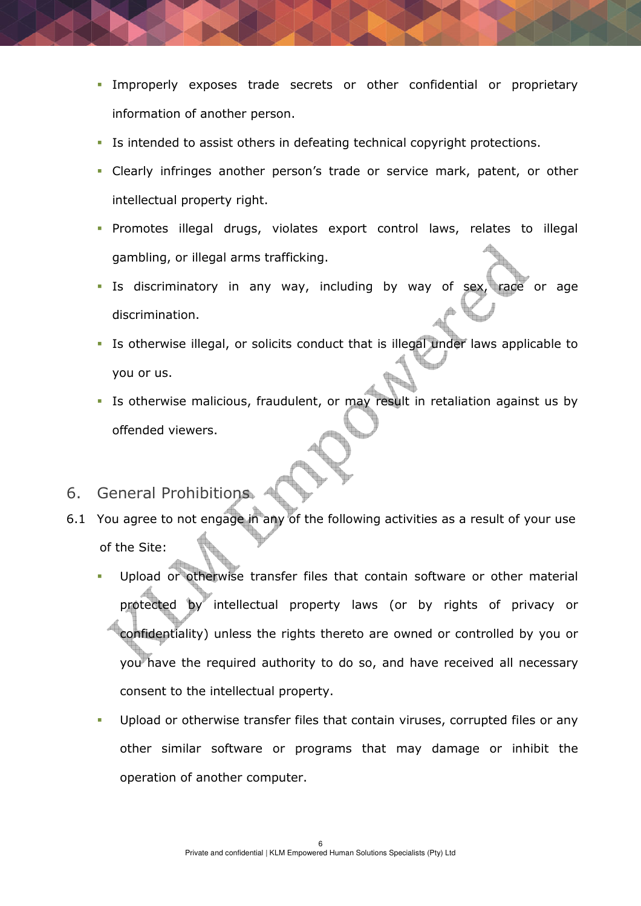- Improperly exposes trade secrets or other confidential or proprietary information of another person.
- Is intended to assist others in defeating technical copyright protections.
- Clearly infringes another person's trade or service mark, patent, or other intellectual property right.
- Promotes illegal drugs, violates export control laws, relates to illegal gambling, or illegal arms trafficking.
- Is discriminatory in any way, including by way of sex, race or age discrimination.
- Is otherwise illegal, or solicits conduct that is illegal under laws applicable to you or us.
- Is otherwise malicious, fraudulent, or may result in retaliation against us by offended viewers.
- 6. General Prohibitions
- 6.1 You agree to not engage in any of the following activities as a result of your use of the Site:
	- Upload or otherwise transfer files that contain software or other material protected by intellectual property laws (or by rights of privacy or confidentiality) unless the rights thereto are owned or controlled by you or you have the required authority to do so, and have received all necessary consent to the intellectual property.
	- Upload or otherwise transfer files that contain viruses, corrupted files or any other similar software or programs that may damage or inhibit the operation of another computer.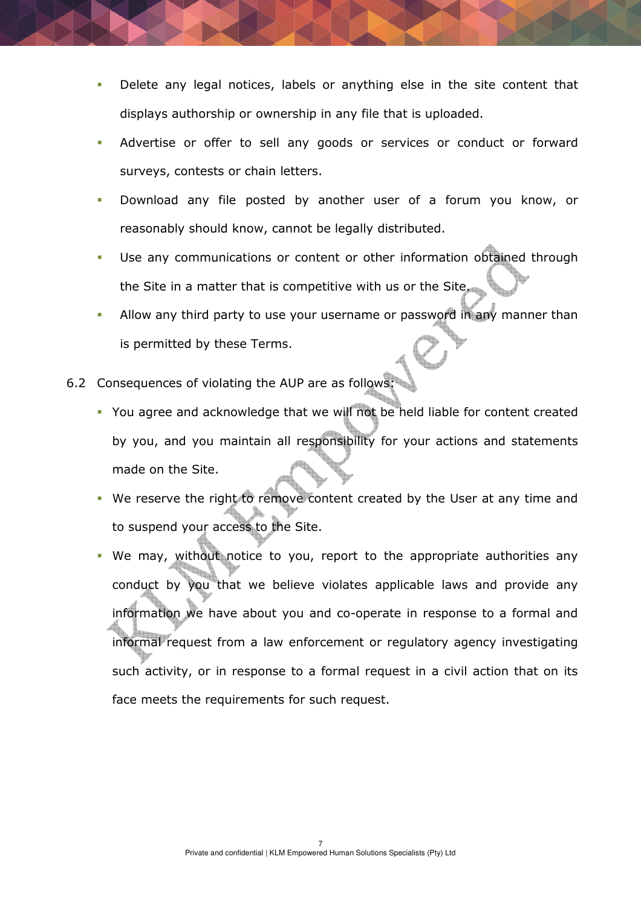- **Delete any legal notices, labels or anything else in the site content that** displays authorship or ownership in any file that is uploaded.
- Advertise or offer to sell any goods or services or conduct or forward surveys, contests or chain letters.
- Download any file posted by another user of a forum you know, or reasonably should know, cannot be legally distributed.
- Use any communications or content or other information obtained through the Site in a matter that is competitive with us or the Site.
- Allow any third party to use your username or password in any manner than is permitted by these Terms.
- 6.2 Consequences of violating the AUP are as follows:
	- You agree and acknowledge that we will not be held liable for content created by you, and you maintain all responsibility for your actions and statements made on the Site.
	- We reserve the right to remove content created by the User at any time and to suspend your access to the Site.
	- We may, without notice to you, report to the appropriate authorities any conduct by you that we believe violates applicable laws and provide any information we have about you and co-operate in response to a formal and informal request from a law enforcement or regulatory agency investigating such activity, or in response to a formal request in a civil action that on its face meets the requirements for such request.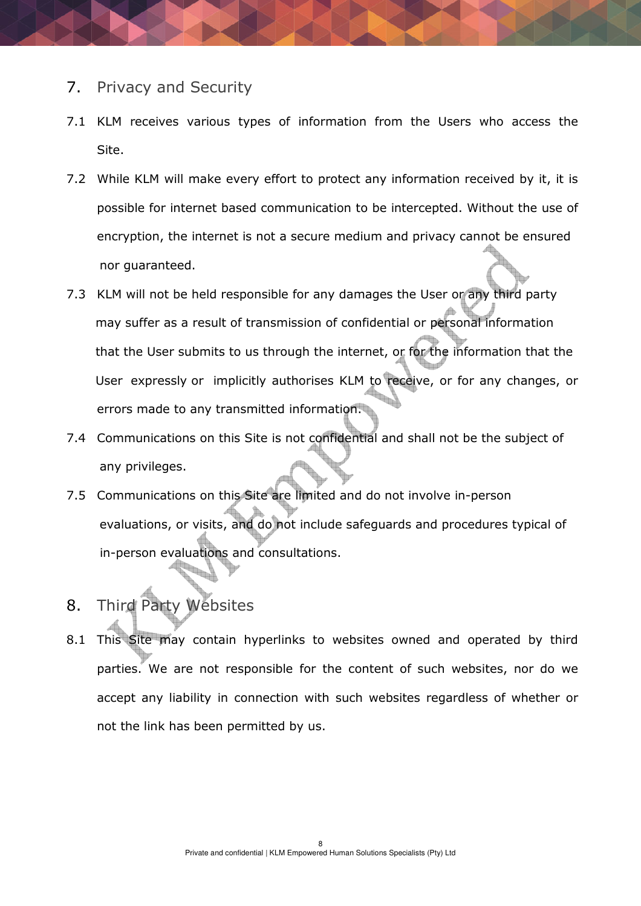### 7. Privacy and Security

- 7.1 KLM receives various types of information from the Users who access the Site.
- 7.2 While KLM will make every effort to protect any information received by it, it is possible for internet based communication to be intercepted. Without the use of encryption, the internet is not a secure medium and privacy cannot be ensured nor guaranteed.
- 7.3 KLM will not be held responsible for any damages the User or any third party may suffer as a result of transmission of confidential or personal information that the User submits to us through the internet, or for the information that the User expressly or implicitly authorises KLM to receive, or for any changes, or errors made to any transmitted information.
- 7.4 Communications on this Site is not confidential and shall not be the subject of any privileges.
- 7.5 Communications on this Site are limited and do not involve in-person evaluations, or visits, and do not include safeguards and procedures typical of in-person evaluations and consultations.
- 8. Third Party Websites
- 8.1 This Site may contain hyperlinks to websites owned and operated by third parties. We are not responsible for the content of such websites, nor do we accept any liability in connection with such websites regardless of whether or not the link has been permitted by us.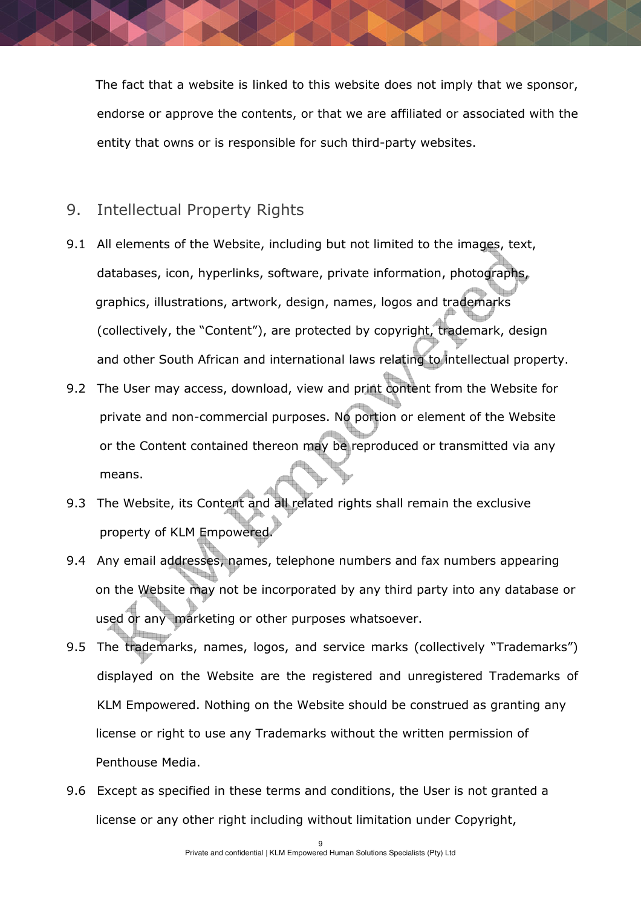The fact that a website is linked to this website does not imply that we sponsor, endorse or approve the contents, or that we are affiliated or associated with the entity that owns or is responsible for such third-party websites.

## 9. Intellectual Property Rights

- 9.1 All elements of the Website, including but not limited to the images, text, databases, icon, hyperlinks, software, private information, photographs, graphics, illustrations, artwork, design, names, logos and trademarks (collectively, the "Content"), are protected by copyright, trademark, design and other South African and international laws relating to intellectual property.
- 9.2 The User may access, download, view and print content from the Website for private and non-commercial purposes. No portion or element of the Website or the Content contained thereon may be reproduced or transmitted via any means.
- 9.3 The Website, its Content and all related rights shall remain the exclusive property of KLM Empowered.
- 9.4 Any email addresses, names, telephone numbers and fax numbers appearing on the Website may not be incorporated by any third party into any database or used or any marketing or other purposes whatsoever.
- 9.5 The trademarks, names, logos, and service marks (collectively "Trademarks") displayed on the Website are the registered and unregistered Trademarks of KLM Empowered. Nothing on the Website should be construed as granting any license or right to use any Trademarks without the written permission of Penthouse Media.
- 9.6 Except as specified in these terms and conditions, the User is not granted a license or any other right including without limitation under Copyright,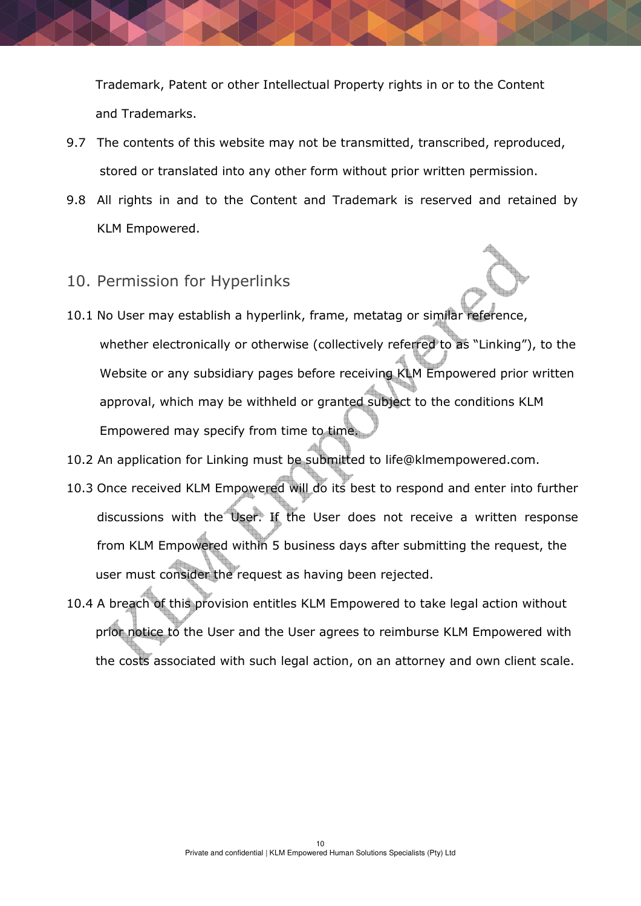Trademark, Patent or other Intellectual Property rights in or to the Content and Trademarks.

- 9.7 The contents of this website may not be transmitted, transcribed, reproduced, stored or translated into any other form without prior written permission.
- 9.8 All rights in and to the Content and Trademark is reserved and retained by KLM Empowered.

### 10. Permission for Hyperlinks

- 10.1 No User may establish a hyperlink, frame, metatag or similar reference, whether electronically or otherwise (collectively referred to as "Linking"), to the Website or any subsidiary pages before receiving KLM Empowered prior written approval, which may be withheld or granted subject to the conditions KLM Empowered may specify from time to time.
- 10.2 An application for Linking must be submitted to life@klmempowered.com.
- 10.3 Once received KLM Empowered will do its best to respond and enter into further discussions with the User. If the User does not receive a written response from KLM Empowered within 5 business days after submitting the request, the user must consider the request as having been rejected.
- 10.4 A breach of this provision entitles KLM Empowered to take legal action without prior notice to the User and the User agrees to reimburse KLM Empowered with the costs associated with such legal action, on an attorney and own client scale.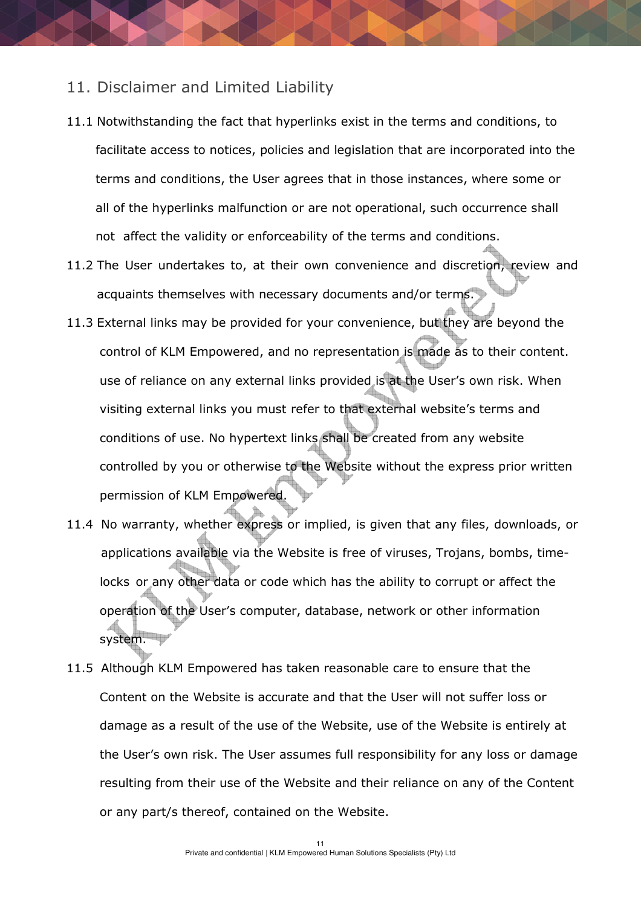#### 11. Disclaimer and Limited Liability

- 11.1 Notwithstanding the fact that hyperlinks exist in the terms and conditions, to facilitate access to notices, policies and legislation that are incorporated into the terms and conditions, the User agrees that in those instances, where some or all of the hyperlinks malfunction or are not operational, such occurrence shall not affect the validity or enforceability of the terms and conditions.
- 11.2 The User undertakes to, at their own convenience and discretion, review and acquaints themselves with necessary documents and/or terms.
- 11.3 External links may be provided for your convenience, but they are beyond the control of KLM Empowered, and no representation is made as to their content. use of reliance on any external links provided is at the User's own risk. When visiting external links you must refer to that external website's terms and conditions of use. No hypertext links shall be created from any website controlled by you or otherwise to the Website without the express prior written permission of KLM Empowered.
- 11.4 No warranty, whether express or implied, is given that any files, downloads, or applications available via the Website is free of viruses, Trojans, bombs, time locks or any other data or code which has the ability to corrupt or affect the operation of the User's computer, database, network or other information system.
- 11.5 Although KLM Empowered has taken reasonable care to ensure that the Content on the Website is accurate and that the User will not suffer loss or damage as a result of the use of the Website, use of the Website is entirely at the User's own risk. The User assumes full responsibility for any loss or damage resulting from their use of the Website and their reliance on any of the Content or any part/s thereof, contained on the Website.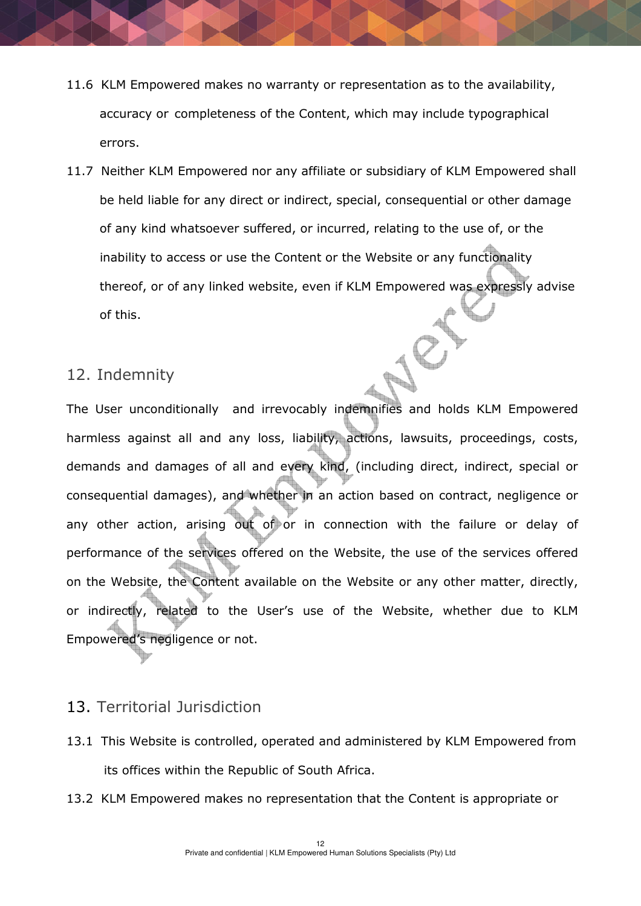- 11.6 KLM Empowered makes no warranty or representation as to the availability, accuracy or completeness of the Content, which may include typographical errors.
- 11.7 Neither KLM Empowered nor any affiliate or subsidiary of KLM Empowered shall be held liable for any direct or indirect, special, consequential or other damage of any kind whatsoever suffered, or incurred, relating to the use of, or the inability to access or use the Content or the Website or any functionality thereof, or of any linked website, even if KLM Empowered was expressly advise of this.

## 12. Indemnity

The User unconditionally and irrevocably indemnifies and holds KLM Empowered harmless against all and any loss, liability, actions, lawsuits, proceedings, costs, demands and damages of all and every kind, (including direct, indirect, special or consequential damages), and whether in an action based on contract, negligence or any other action, arising out of or in connection with the failure or delay of performance of the services offered on the Website, the use of the services offered on the Website, the Content available on the Website or any other matter, directly, or indirectly, related to the User's use of the Website, whether due to KLM Empowered's negligence or not.

# 13. Territorial Jurisdiction

- 13.1 This Website is controlled, operated and administered by KLM Empowered from its offices within the Republic of South Africa.
- 13.2 KLM Empowered makes no representation that the Content is appropriate or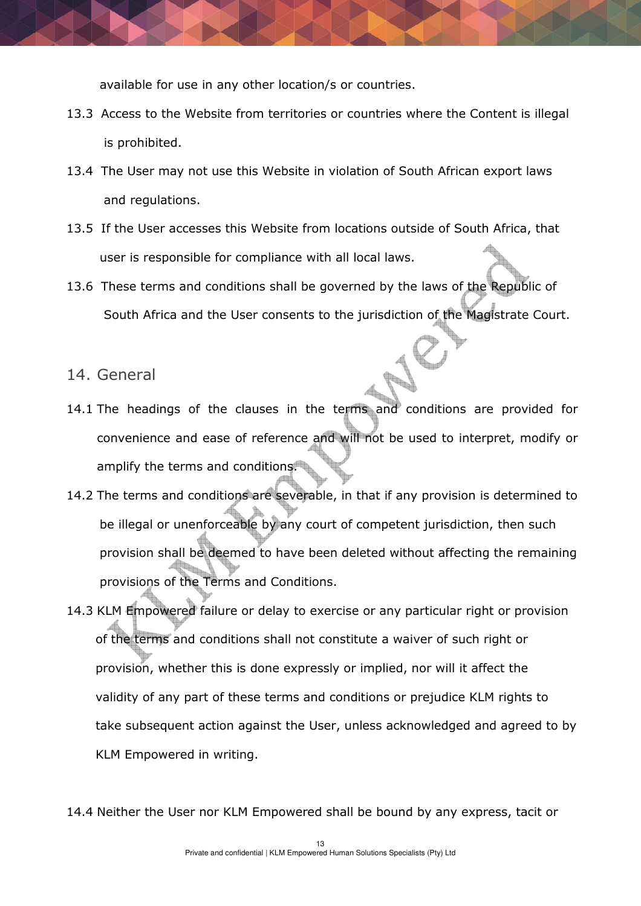available for use in any other location/s or countries.

- 13.3 Access to the Website from territories or countries where the Content is illegal is prohibited.
- 13.4 The User may not use this Website in violation of South African export laws and regulations.
- 13.5 If the User accesses this Website from locations outside of South Africa, that user is responsible for compliance with all local laws.
- 13.6 These terms and conditions shall be governed by the laws of the Republic of South Africa and the User consents to the jurisdiction of the Magistrate Court.

#### 14. General

- 14.1 The headings of the clauses in the terms and conditions are provided for convenience and ease of reference and will not be used to interpret, modify or amplify the terms and conditions.
- 14.2 The terms and conditions are severable, in that if any provision is determined to be illegal or unenforceable by any court of competent jurisdiction, then such provision shall be deemed to have been deleted without affecting the remaining provisions of the Terms and Conditions.
- 14.3 KLM Empowered failure or delay to exercise or any particular right or provision of the terms and conditions shall not constitute a waiver of such right or provision, whether this is done expressly or implied, nor will it affect the validity of any part of these terms and conditions or prejudice KLM rights to take subsequent action against the User, unless acknowledged and agreed to by KLM Empowered in writing.
- 14.4 Neither the User nor KLM Empowered shall be bound by any express, tacit or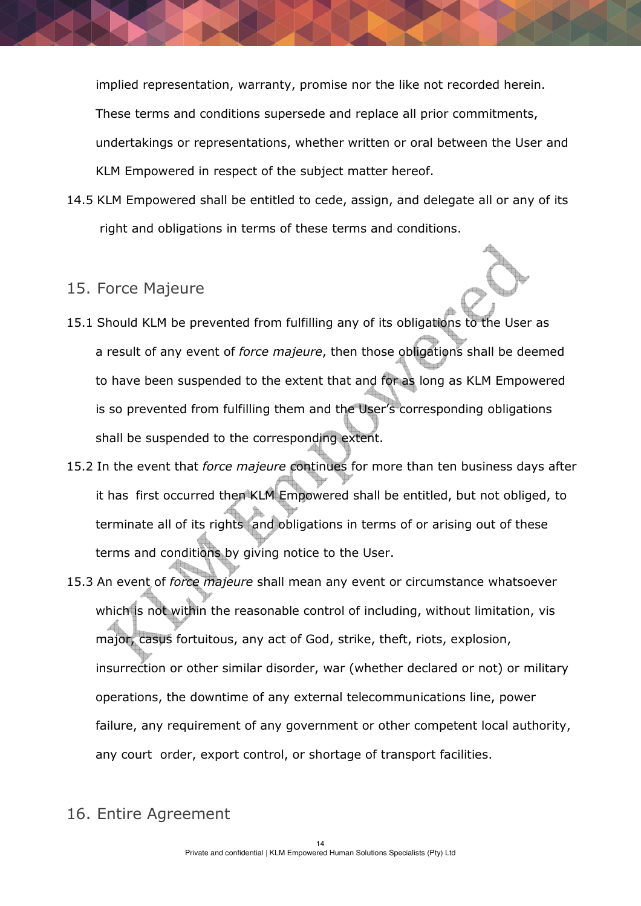implied representation, warranty, promise nor the like not recorded herein. These terms and conditions supersede and replace all prior commitments, undertakings or representations, whether written or oral between the User and KLM Empowered in respect of the subject matter hereof.

14.5 KLM Empowered shall be entitled to cede, assign, and delegate all or any of its right and obligations in terms of these terms and conditions.

### 15. Force Majeure

- 15.1 Should KLM be prevented from fulfilling any of its obligations to the User as a result of any event of force majeure, then those obligations shall be deemed to have been suspended to the extent that and for as long as KLM Empowered is so prevented from fulfilling them and the User's corresponding obligations shall be suspended to the corresponding extent.
- 15.2 In the event that force majeure continues for more than ten business days after it has first occurred then KLM Empowered shall be entitled, but not obliged, to terminate all of its rights and obligations in terms of or arising out of these terms and conditions by giving notice to the User.
- 15.3 An event of force majeure shall mean any event or circumstance whatsoever which is not within the reasonable control of including, without limitation, vis major, casus fortuitous, any act of God, strike, theft, riots, explosion, insurrection or other similar disorder, war (whether declared or not) or military operations, the downtime of any external telecommunications line, power failure, any requirement of any government or other competent local authority, any court order, export control, or shortage of transport facilities.
- 16. Entire Agreement